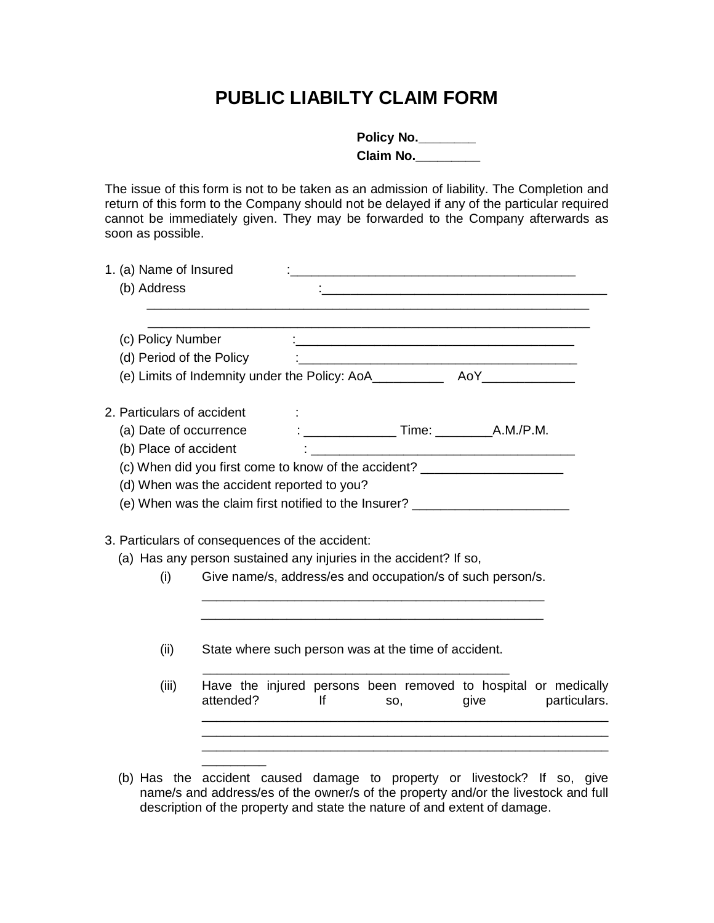## **PUBLIC LIABILTY CLAIM FORM**

| Policy No. |  |
|------------|--|
| Claim No.  |  |

The issue of this form is not to be taken as an admission of liability. The Completion and return of this form to the Company should not be delayed if any of the particular required cannot be immediately given. They may be forwarded to the Company afterwards as soon as possible.

| 1. (a) Name of Insured<br>(b) Address                                                                                       |                                                               |    | <u> 1980 - John Stone, Amerikaansk politiker (</u> † 1920)            |      |              |
|-----------------------------------------------------------------------------------------------------------------------------|---------------------------------------------------------------|----|-----------------------------------------------------------------------|------|--------------|
| (c) Policy Number                                                                                                           |                                                               |    |                                                                       |      |              |
| (d) Period of the Policy                                                                                                    |                                                               |    |                                                                       |      |              |
|                                                                                                                             |                                                               |    |                                                                       |      |              |
| 2. Particulars of accident                                                                                                  |                                                               |    |                                                                       |      |              |
|                                                                                                                             |                                                               |    |                                                                       |      |              |
| (b) Place of accident                                                                                                       | <u> 1980 - Jan James James Barnett, filozof eta idazlea (</u> |    |                                                                       |      |              |
| (c) When did you first come to know of the accident? ___________________________                                            |                                                               |    |                                                                       |      |              |
| (d) When was the accident reported to you?                                                                                  |                                                               |    |                                                                       |      |              |
| (e) When was the claim first notified to the Insurer? __________________________                                            |                                                               |    |                                                                       |      |              |
| 3. Particulars of consequences of the accident:<br>(a) Has any person sustained any injuries in the accident? If so,<br>(i) |                                                               |    | Give name/s, address/es and occupation/s of such person/s.            |      |              |
| (ii)                                                                                                                        |                                                               |    | State where such person was at the time of accident.                  |      |              |
| (iii)<br>attended?                                                                                                          |                                                               | lf | Have the injured persons been removed to hospital or medically<br>SO, | give | particulars. |
|                                                                                                                             |                                                               |    |                                                                       |      |              |
| (b) Has the accident caused damage to property or livestock? If so, give                                                    |                                                               |    |                                                                       |      |              |

name/s and address/es of the owner/s of the property and/or the livestock and full description of the property and state the nature of and extent of damage.